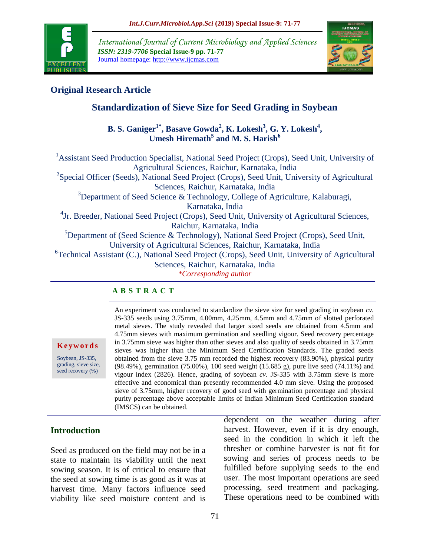

*International Journal of Current Microbiology and Applied Sciences ISSN: 2319-7706* **Special Issue-9 pp. 71-77** Journal homepage: http://www.ijcmas.com



# **Original Research Article**

# **Standardization of Sieve Size for Seed Grading in Soybean**

**B. S. Ganiger1\*, Basave Gowda<sup>2</sup> , K. Lokesh<sup>3</sup> , G. Y. Lokesh<sup>4</sup> , Umesh Hiremath<sup>5</sup> and M. S. Harish<sup>6</sup>**

<sup>1</sup> Assistant Seed Production Specialist, National Seed Project (Crops), Seed Unit, University of Agricultural Sciences, Raichur, Karnataka, India <sup>2</sup>Special Officer (Seeds), National Seed Project (Crops), Seed Unit, University of Agricultural Sciences, Raichur, Karnataka, India <sup>3</sup>Department of Seed Science & Technology, College of Agriculture, Kalaburagi, Karnataka, India <sup>4</sup> Jr. Breeder, National Seed Project (Crops), Seed Unit, University of Agricultural Sciences, Raichur, Karnataka, India  ${}^{5}$ Department of (Seed Science & Technology), National Seed Project (Crops), Seed Unit, University of Agricultural Sciences, Raichur, Karnataka, India <sup>6</sup>Technical Assistant (C.), National Seed Project (Crops), Seed Unit, University of Agricultural Sciences, Raichur, Karnataka, India *\*Corresponding author*

#### **A B S T R A C T**

**K e y w o r d s**

Soybean, JS-335, grading, sieve size, seed recovery (%)

An experiment was conducted to standardize the sieve size for seed grading in soybean *cv.* JS-335 seeds using 3.75mm, 4.00mm, 4.25mm, 4.5mm and 4.75mm of slotted perforated metal sieves. The study revealed that larger sized seeds are obtained from 4.5mm and 4.75mm sieves with maximum germination and seedling vigour. Seed recovery percentage in 3.75mm sieve was higher than other sieves and also quality of seeds obtained in 3.75mm sieves was higher than the Minimum Seed Certification Standards. The graded seeds obtained from the sieve 3.75 mm recorded the highest recovery (83.90%), physical purity (98.49%), germination (75.00%), 100 seed weight (15.685 g), pure live seed (74.11%) and vigour index (2826). Hence, grading of soybean *cv.* JS-335 with 3.75mm sieve is more effective and economical than presently recommended 4.0 mm sieve. Using the proposed sieve of 3.75mm, higher recovery of good seed with germination percentage and physical purity percentage above acceptable limits of Indian Minimum Seed Certification standard (IMSCS) can be obtained.

## **Introduction**

Seed as produced on the field may not be in a state to maintain its viability until the next sowing season. It is of critical to ensure that the seed at sowing time is as good as it was at harvest time. Many factors influence seed viability like seed moisture content and is

dependent on the weather during after harvest. However, even if it is dry enough, seed in the condition in which it left the thresher or combine harvester is not fit for sowing and series of process needs to be fulfilled before supplying seeds to the end user. The most important operations are seed processing, seed treatment and packaging. These operations need to be combined with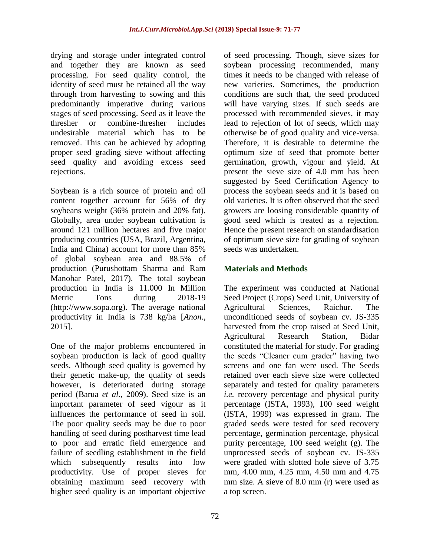drying and storage under integrated control and together they are known as seed processing. For seed quality control, the identity of seed must be retained all the way through from harvesting to sowing and this predominantly imperative during various stages of seed processing. Seed as it leave the thresher or combine-thresher includes undesirable material which has to be removed. This can be achieved by adopting proper seed grading sieve without affecting seed quality and avoiding excess seed rejections.

Soybean is a rich source of protein and oil content together account for 56% of dry soybeans weight (36% protein and 20% fat). Globally, area under soybean cultivation is around 121 million hectares and five major producing countries (USA, Brazil, Argentina, India and China) account for more than 85% of global soybean area and 88.5% of production (Purushottam Sharma and Ram Manohar Patel, 2017). The total soybean production in India is 11.000 In Million Metric Tons during 2018-19 (http://www.sopa.org). The average national productivity in India is 738 kg/ha [*Anon*., 2015].

One of the major problems encountered in soybean production is lack of good quality seeds. Although seed quality is governed by their genetic make-up, the quality of seeds however, is deteriorated during storage period (Barua *et al.,* 2009). Seed size is an important parameter of seed vigour as it influences the performance of seed in soil. The poor quality seeds may be due to poor handling of seed during postharvest time lead to poor and erratic field emergence and failure of seedling establishment in the field which subsequently results into low productivity. Use of proper sieves for obtaining maximum seed recovery with higher seed quality is an important objective

of seed processing. Though, sieve sizes for soybean processing recommended, many times it needs to be changed with release of new varieties. Sometimes, the production conditions are such that, the seed produced will have varying sizes. If such seeds are processed with recommended sieves, it may lead to rejection of lot of seeds, which may otherwise be of good quality and vice-versa. Therefore, it is desirable to determine the optimum size of seed that promote better germination, growth, vigour and yield. At present the sieve size of 4.0 mm has been suggested by Seed Certification Agency to process the soybean seeds and it is based on old varieties. It is often observed that the seed growers are loosing considerable quantity of good seed which is treated as a rejection. Hence the present research on standardisation of optimum sieve size for grading of soybean seeds was undertaken.

## **Materials and Methods**

The experiment was conducted at National Seed Project (Crops) Seed Unit, University of Agricultural Sciences, Raichur. The unconditioned seeds of soybean cv. JS-335 harvested from the crop raised at Seed Unit, Agricultural Research Station, Bidar constituted the material for study. For grading the seeds "Cleaner cum grader" having two screens and one fan were used. The Seeds retained over each sieve size were collected separately and tested for quality parameters *i.e.* recovery percentage and physical purity percentage (ISTA, 1993), 100 seed weight (ISTA, 1999) was expressed in gram. The graded seeds were tested for seed recovery percentage, germination percentage, physical purity percentage, 100 seed weight (g). The unprocessed seeds of soybean cv. JS-335 were graded with slotted hole sieve of 3.75 mm, 4.00 mm, 4.25 mm, 4.50 mm and 4.75 mm size. A sieve of 8.0 mm (r) were used as a top screen.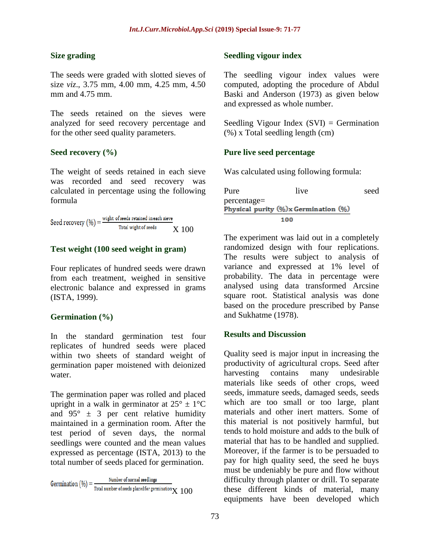## **Size grading**

The seeds were graded with slotted sieves of size *viz*., 3.75 mm, 4.00 mm, 4.25 mm, 4.50 mm and 4.75 mm.

The seeds retained on the sieves were analyzed for seed recovery percentage and for the other seed quality parameters.

## **Seed recovery (%)**

The weight of seeds retained in each sieve was recorded and seed recovery was calculated in percentage using the following formula

Seed recovery  $(\% ) = \frac{\text{width of seeds retained in each sieve}}{\text{Total width of seeds}}$ Total wight of seeds X 100

### **Test weight (100 seed weight in gram)**

Four replicates of hundred seeds were drawn from each treatment, weighed in sensitive electronic balance and expressed in grams (ISTA, 1999).

#### **Germination (%)**

In the standard germination test four replicates of hundred seeds were placed within two sheets of standard weight of germination paper moistened with deionized water.

The germination paper was rolled and placed upright in a walk in germinator at  $25^{\circ} \pm 1^{\circ}C$ and  $95^{\circ} \pm 3$  per cent relative humidity maintained in a germination room. After the test period of seven days, the normal seedlings were counted and the mean values expressed as percentage (ISTA, 2013) to the total number of seeds placed for germination.

Germination  $(\%)$  =  $\frac{\text{Number of normal seedlings}}{\text{Total number of seeds placed for germination} \times 100$ 

#### **Seedling vigour index**

The seedling vigour index values were computed, adopting the procedure of Abdul Baski and Anderson (1973) as given below and expressed as whole number.

Seedling Vigour Index  $(SVI) = Germani$ (%) x Total seedling length (cm)

### **Pure live seed percentage**

Was calculated using following formula:

Pure live seed percentage=<br>Physical purity (%)x Germination (%) 100

The experiment was laid out in a completely randomized design with four replications. The results were subject to analysis of variance and expressed at 1% level of probability. The data in percentage were analysed using data transformed Arcsine square root. Statistical analysis was done based on the procedure prescribed by Panse and Sukhatme (1978).

#### **Results and Discussion**

Quality seed is major input in increasing the productivity of agricultural crops. Seed after harvesting contains many undesirable materials like seeds of other crops, weed seeds, immature seeds, damaged seeds, seeds which are too small or too large, plant materials and other inert matters. Some of this material is not positively harmful, but tends to hold moisture and adds to the bulk of material that has to be handled and supplied. Moreover, if the farmer is to be persuaded to pay for high quality seed, the seed he buys must be undeniably be pure and flow without difficulty through planter or drill. To separate these different kinds of material, many equipments have been developed which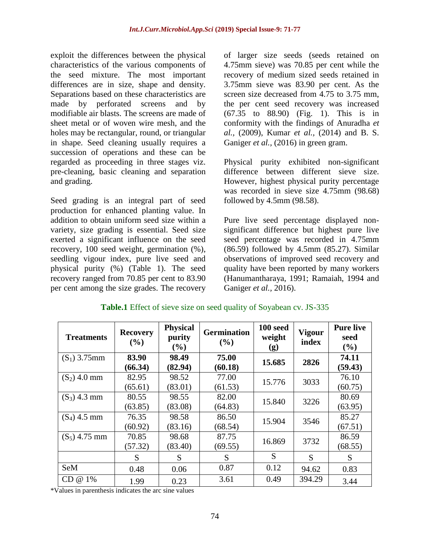exploit the differences between the physical characteristics of the various components of the seed mixture. The most important differences are in size, shape and density. Separations based on these characteristics are made by perforated screens and by modifiable air blasts. The screens are made of sheet metal or of woven wire mesh, and the holes may be rectangular, round, or triangular in shape. Seed cleaning usually requires a succession of operations and these can be regarded as proceeding in three stages viz. pre-cleaning, basic cleaning and separation and grading.

Seed grading is an integral part of seed production for enhanced planting value. In addition to obtain uniform seed size within a variety, size grading is essential. Seed size exerted a significant influence on the seed recovery, 100 seed weight, germination (%), seedling vigour index, pure live seed and physical purity (%) (Table 1). The seed recovery ranged from 70.85 per cent to 83.90 per cent among the size grades. The recovery of larger size seeds (seeds retained on 4.75mm sieve) was 70.85 per cent while the recovery of medium sized seeds retained in 3.75mm sieve was 83.90 per cent. As the screen size decreased from 4.75 to 3.75 mm. the per cent seed recovery was increased (67.35 to 88.90) (Fig. 1). This is in conformity with the findings of Anuradha *et al.,* (2009), Kumar *et al.,* (2014) and B. S. Ganiger *et al.*, (2016) in green gram.

Physical purity exhibited non-significant difference between different sieve size. However, highest physical purity percentage was recorded in sieve size 4.75mm (98.68) followed by 4.5mm (98.58).

Pure live seed percentage displayed nonsignificant difference but highest pure live seed percentage was recorded in 4.75mm (86.59) followed by 4.5mm (85.27). Similar observations of improved seed recovery and quality have been reported by many workers (Hanumantharaya, 1991; Ramaiah, 1994 and Ganiger *et al.,* 2016).

| <b>Treatments</b> | <b>Recovery</b><br>$($ %) | <b>Physical</b><br>purity<br>$(\%)$ | <b>Germination</b><br>$($ %) | 100 seed<br>weight<br>(g) | <b>Vigour</b><br>index | <b>Pure live</b><br>seed<br>(%) |
|-------------------|---------------------------|-------------------------------------|------------------------------|---------------------------|------------------------|---------------------------------|
| $(S_1)$ 3.75mm    | 83.90                     | 98.49                               | 75.00                        | 15.685                    | 2826                   | 74.11                           |
|                   | (66.34)                   | (82.94)                             | (60.18)                      |                           |                        | (59.43)                         |
| $(S_2)$ 4.0 mm    | 82.95                     | 98.52                               | 77.00                        | 15.776                    | 3033                   | 76.10                           |
|                   | (65.61)                   | (83.01)                             | (61.53)                      |                           |                        | (60.75)                         |
| $(S_3)$ 4.3 mm    | 80.55                     | 98.55                               | 82.00                        | 15.840                    | 3226                   | 80.69                           |
|                   | (63.85)                   | (83.08)                             | (64.83)                      |                           |                        | (63.95)                         |
| $(S_4)$ 4.5 mm    | 76.35                     | 98.58                               | 86.50                        | 15.904                    | 3546                   | 85.27                           |
|                   | (60.92)                   | (83.16)                             | (68.54)                      |                           |                        | (67.51)                         |
| $(S_5)$ 4.75 mm   | 70.85                     | 98.68                               | 87.75                        | 16.869                    | 3732                   | 86.59                           |
|                   | (57.32)                   | (83.40)                             | (69.55)                      |                           |                        | (68.55)                         |
|                   | S                         | S                                   | S                            | S                         | S                      | S                               |
| <b>SeM</b>        | 0.48                      | 0.06                                | 0.87                         | 0.12                      | 94.62                  | 0.83                            |
| $CD @ 1\%$        | 1.99                      | 0.23                                | 3.61                         | 0.49                      | 394.29                 | 3.44                            |

## **Table.1** Effect of sieve size on seed quality of Soyabean cv. JS-335

\*Values in parenthesis indicates the arc sine values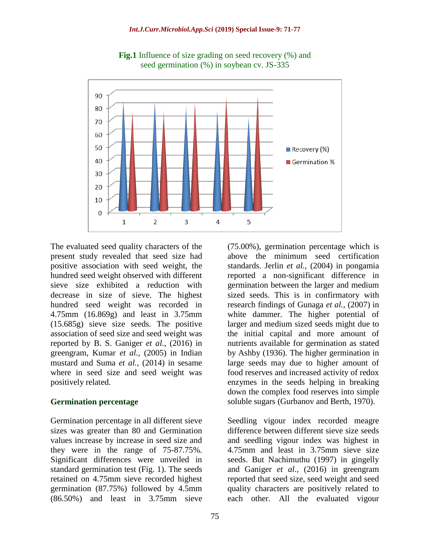

**Fig.1** Influence of size grading on seed recovery (%) and seed germination (%) in soybean cv. JS-335

The evaluated seed quality characters of the present study revealed that seed size had positive association with seed weight, the hundred seed weight observed with different sieve size exhibited a reduction with decrease in size of sieve. The highest hundred seed weight was recorded in 4.75mm (16.869g) and least in 3.75mm (15.685g) sieve size seeds. The positive association of seed size and seed weight was reported by B. S. Ganiger *et al.,* (2016) in greengram, Kumar *et al.,* (2005) in Indian mustard and Suma *et al.,* (2014) in sesame where in seed size and seed weight was positively related.

#### **Germination percentage**

Germination percentage in all different sieve sizes was greater than 80 and Germination values increase by increase in seed size and they were in the range of 75-87.75%. Significant differences were unveiled in standard germination test (Fig. 1). The seeds retained on 4.75mm sieve recorded highest germination (87.75%) followed by 4.5mm (86.50%) and least in 3.75mm sieve

above the minimum seed certification standards. Jerlin *et al.,* (2004) in pongamia reported a non-significant difference in germination between the larger and medium sized seeds. This is in confirmatory with research findings of Gunaga *et al.,* (2007) in white dammer. The higher potential of larger and medium sized seeds might due to the initial capital and more amount of nutrients available for germination as stated by Ashby (1936). The higher germination in large seeds may due to higher amount of food reserves and increased activity of redox enzymes in the seeds helping in breaking down the complex food reserves into simple soluble sugars (Gurbanov and Berth, 1970).

(75.00%), germination percentage which is

Seedling vigour index recorded meagre difference between different sieve size seeds and seedling vigour index was highest in 4.75mm and least in 3.75mm sieve size seeds. But Nachimuthu (1997) in gingelly and Ganiger *et al.,* (2016) in greengram reported that seed size, seed weight and seed quality characters are positively related to each other. All the evaluated vigour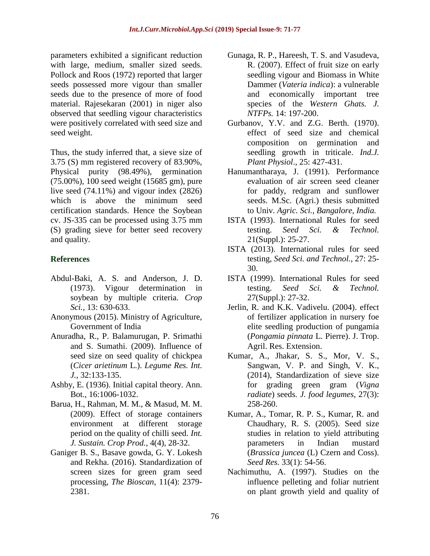parameters exhibited a significant reduction with large, medium, smaller sized seeds. Pollock and Roos (1972) reported that larger seeds possessed more vigour than smaller seeds due to the presence of more of food material. Rajesekaran (2001) in niger also observed that seedling vigour characteristics were positively correlated with seed size and seed weight.

Thus, the study inferred that, a sieve size of 3.75 (S) mm registered recovery of 83.90%, Physical purity (98.49%), germination (75.00%), 100 seed weight (15685 gm), pure live seed (74.11%) and vigour index (2826) which is above the minimum seed certification standards. Hence the Soybean cv. JS-335 can be processed using 3.75 mm (S) grading sieve for better seed recovery and quality.

## **References**

- Abdul-Baki, A. S. and Anderson, J. D. (1973). Vigour determination in soybean by multiple criteria. *Crop Sci.,* 13: 630-633.
- Anonymous (2015). Ministry of Agriculture, Government of India
- Anuradha, R., P. Balamurugan, P. Srimathi and S. Sumathi. (2009). Influence of seed size on seed quality of chickpea (*Cicer arietinum* L.). *Legume Res. Int. J.,* 32:133-135.
- Ashby, E. (1936). Initial capital theory. Ann. Bot., 16:1006-1032.
- Barua, H., Rahman, M. M., & Masud, M. M. (2009). Effect of storage containers environment at different storage period on the quality of chilli seed. *Int. J. Sustain. Crop Prod.*, 4(4), 28-32.
- Ganiger B. S., Basave gowda, G. Y. Lokesh and Rekha. (2016). Standardization of screen sizes for green gram seed processing, *The Bioscan*, 11(4): 2379- 2381.
- Gunaga, R. P., Hareesh, T. S. and Vasudeva, R. (2007). Effect of fruit size on early seedling vigour and Biomass in White Dammer (*Vateria indica*): a vulnerable and economically important tree species of the *Western Ghats. J. NTFPs.* 14: 197-200.
- Gurbanov, Y.V. and Z.G. Berth. (1970). effect of seed size and chemical composition on germination and seedling growth in triticale. *Ind.J. Plant Physiol*., 25: 427-431.
- Hanumantharaya, J. (1991). Performance evaluation of air screen seed cleaner for paddy, redgram and sunflower seeds. M.Sc. (Agri.) thesis submitted to Univ. *Agric. Sci., Bangalore, India.*
- ISTA (1993). International Rules for seed testing. *Seed Sci. & Technol.*  21(Suppl.): 25-27.
- ISTA (2013). International rules for seed testing, *Seed Sci. and Technol.,* 27: 25- 30.
- ISTA (1999). International Rules for seed testing. *Seed Sci. & Technol.*  27(Suppl.): 27-32.
- Jerlin, R. and K.K. Vadivelu. (2004). effect of fertilizer application in nursery foe elite seedling production of pungamia (*Pongamia pinnata* L. Pierre). J. Trop. Agril. Res. Extension.
- Kumar, A., Jhakar, S. S., Mor, V. S., Sangwan, V. P. and Singh, V. K., (2014), Standardization of sieve size for grading green gram (*Vigna radiate*) seeds*. J. food legumes,* 27(3): 258-260.
- Kumar, A., Tomar, R. P. S., Kumar, R. and Chaudhary, R. S. (2005). Seed size studies in relation to yield attributing parameters in Indian mustard (*Brassica juncea* (L) Czern and Coss). *Seed Res.* 33(1): 54-56.
- Nachimuthu, A. (1997). Studies on the influence pelleting and foliar nutrient on plant growth yield and quality of